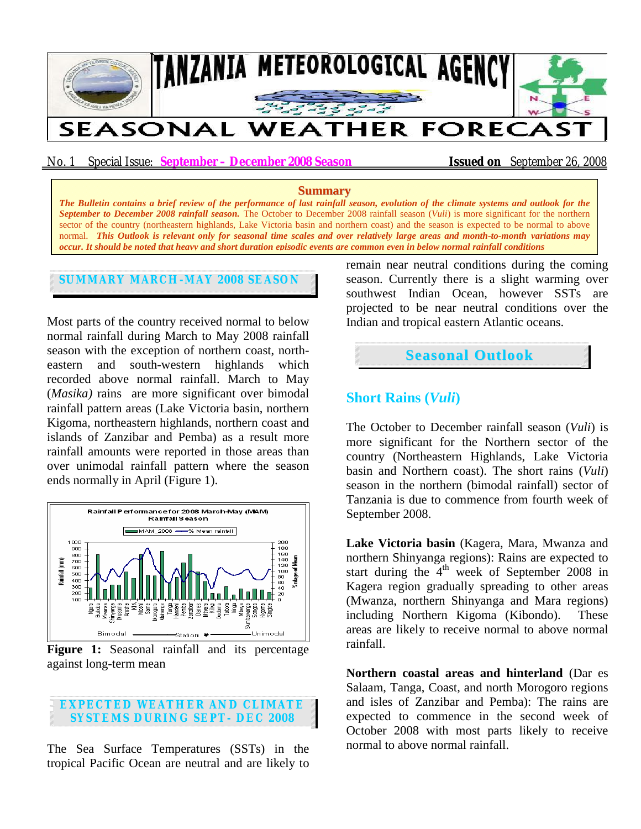

No. 1 Special Issue: **September – December 2008 Season Issued on** September 26, 2008

#### **Summary**

*The Bulletin contains a brief review of the performance of last rainfall season, evolution of the climate systems and outlook for the September to December 2008 rainfall season.* The October to December 2008 rainfall season (*Vuli*) is more significant for the northern sector of the country (northeastern highlands, Lake Victoria basin and northern coast) and the season is expected to be normal to above normal. *This Outlook is relevant only for seasonal time scales and over relatively large areas and month-to-month variations may occur. It should be noted that heavy and short duration episodic events are common even in below normal rainfall conditions*

**SUMMARY MARCH-MAY 2008 SEASON**

Most parts of the country received normal to below normal rainfall during March to May 2008 rainfall season with the exception of northern coast, northeastern and south-western highlands which recorded above normal rainfall. March to May (*Masika)* rains are more significant over bimodal rainfall pattern areas (Lake Victoria basin, northern Kigoma, northeastern highlands, northern coast and islands of Zanzibar and Pemba) as a result more rainfall amounts were reported in those areas than over unimodal rainfall pattern where the season ends normally in April (Figure 1).



**Figure 1:** Seasonal rainfall and its percentage against long-term mean

#### **EXPECTED WEATHER AND CLIMATE SYSTEMS DURING SEPT- DEC 2008**

The Sea Surface Temperatures (SSTs) in the tropical Pacific Ocean are neutral and are likely to remain near neutral conditions during the coming season. Currently there is a slight warming over southwest Indian Ocean, however SSTs are projected to be near neutral conditions over the Indian and tropical eastern Atlantic oceans.



# **Short Rains (***Vuli***)**

The October to December rainfall season (*Vuli*) is more significant for the Northern sector of the country (Northeastern Highlands, Lake Victoria basin and Northern coast). The short rains (*Vuli*) season in the northern (bimodal rainfall) sector of Tanzania is due to commence from fourth week of September 2008.

**Lake Victoria basin** (Kagera, Mara, Mwanza and northern Shinyanga regions): Rains are expected to start during the  $4<sup>th</sup>$  week of September 2008 in Kagera region gradually spreading to other areas (Mwanza, northern Shinyanga and Mara regions) including Northern Kigoma (Kibondo). These areas are likely to receive normal to above normal rainfall.

**Northern coastal areas and hinterland** (Dar es Salaam, Tanga, Coast, and north Morogoro regions and isles of Zanzibar and Pemba): The rains are expected to commence in the second week of October 2008 with most parts likely to receive normal to above normal rainfall.